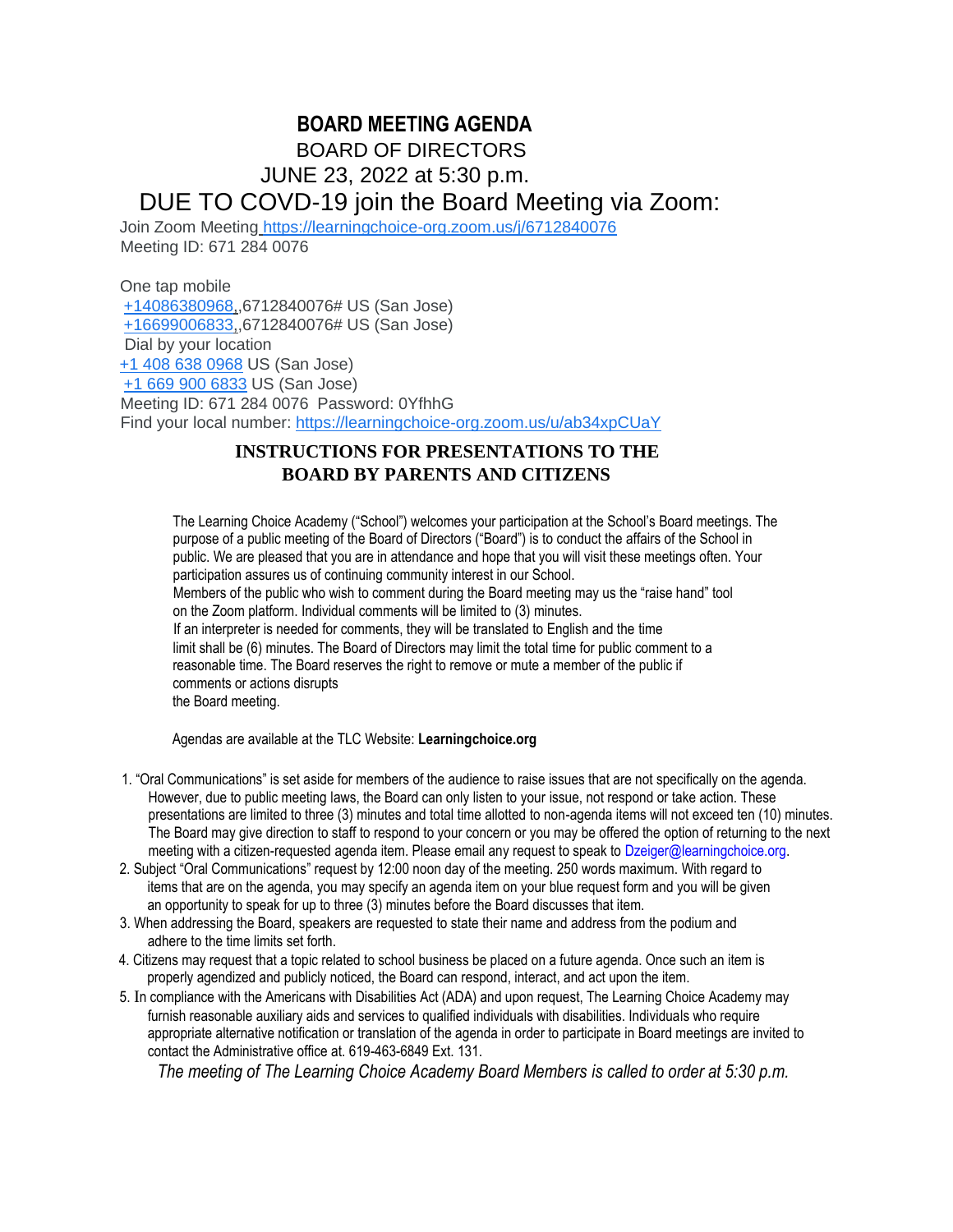# **BOARD MEETING AGENDA** BOARD OF DIRECTORS JUNE 23, 2022 at 5:30 p.m. DUE TO COVD-19 join the Board Meeting via Zoom:

Join Zoom Meeting https://learningchoice-org.zoom.us/j/6712840076 Meeting ID: 671 284 0076

One tap mobile +14086380968,,6712840076# US (San Jose) +16699006833,,6712840076# US (San Jose) Dial by your location +1 408 638 0968 US (San Jose) +1 669 900 6833 US (San Jose) Meeting ID: 671 284 0076 Password: 0YfhhG Find your local number: https://learningchoice-org.zoom.us/u/ab34xpCUaY

### **INSTRUCTIONS FOR PRESENTATIONS TO THE BOARD BY PARENTS AND CITIZENS**

The Learning Choice Academy ("School") welcomes your participation at the School's Board meetings. The purpose of a public meeting of the Board of Directors ("Board") is to conduct the affairs of the School in public. We are pleased that you are in attendance and hope that you will visit these meetings often. Your participation assures us of continuing community interest in our School. Members of the public who wish to comment during the Board meeting may us the "raise hand" tool on the Zoom platform. Individual comments will be limited to (3) minutes. If an interpreter is needed for comments, they will be translated to English and the time limit shall be (6) minutes. The Board of Directors may limit the total time for public comment to a reasonable time. The Board reserves the right to remove or mute a member of the public if comments or actions disrupts the Board meeting.

Agendas are available at the TLC Website: **Learningchoice.org**

- 1. "Oral Communications" is set aside for members of the audience to raise issues that are not specifically on the agenda. However, due to public meeting laws, the Board can only listen to your issue, not respond or take action. These presentations are limited to three (3) minutes and total time allotted to non-agenda items will not exceed ten (10) minutes. The Board may give direction to staff to respond to your concern or you may be offered the option of returning to the next meeting with a citizen-requested agenda item. Please email any request to speak to Dzeiger@learningchoice.org.
- 2. Subject "Oral Communications" request by 12:00 noon day of the meeting. 250 words maximum. With regard to items that are on the agenda, you may specify an agenda item on your blue request form and you will be given an opportunity to speak for up to three (3) minutes before the Board discusses that item.
- 3. When addressing the Board, speakers are requested to state their name and address from the podium and adhere to the time limits set forth.
- 4. Citizens may request that a topic related to school business be placed on a future agenda. Once such an item is properly agendized and publicly noticed, the Board can respond, interact, and act upon the item.
- 5. In compliance with the Americans with Disabilities Act (ADA) and upon request, The Learning Choice Academy may furnish reasonable auxiliary aids and services to qualified individuals with disabilities. Individuals who require appropriate alternative notification or translation of the agenda in order to participate in Board meetings are invited to contact the Administrative office at. 619-463-6849 Ext. 131.

*The meeting of The Learning Choice Academy Board Members is called to order at 5:30 p.m.*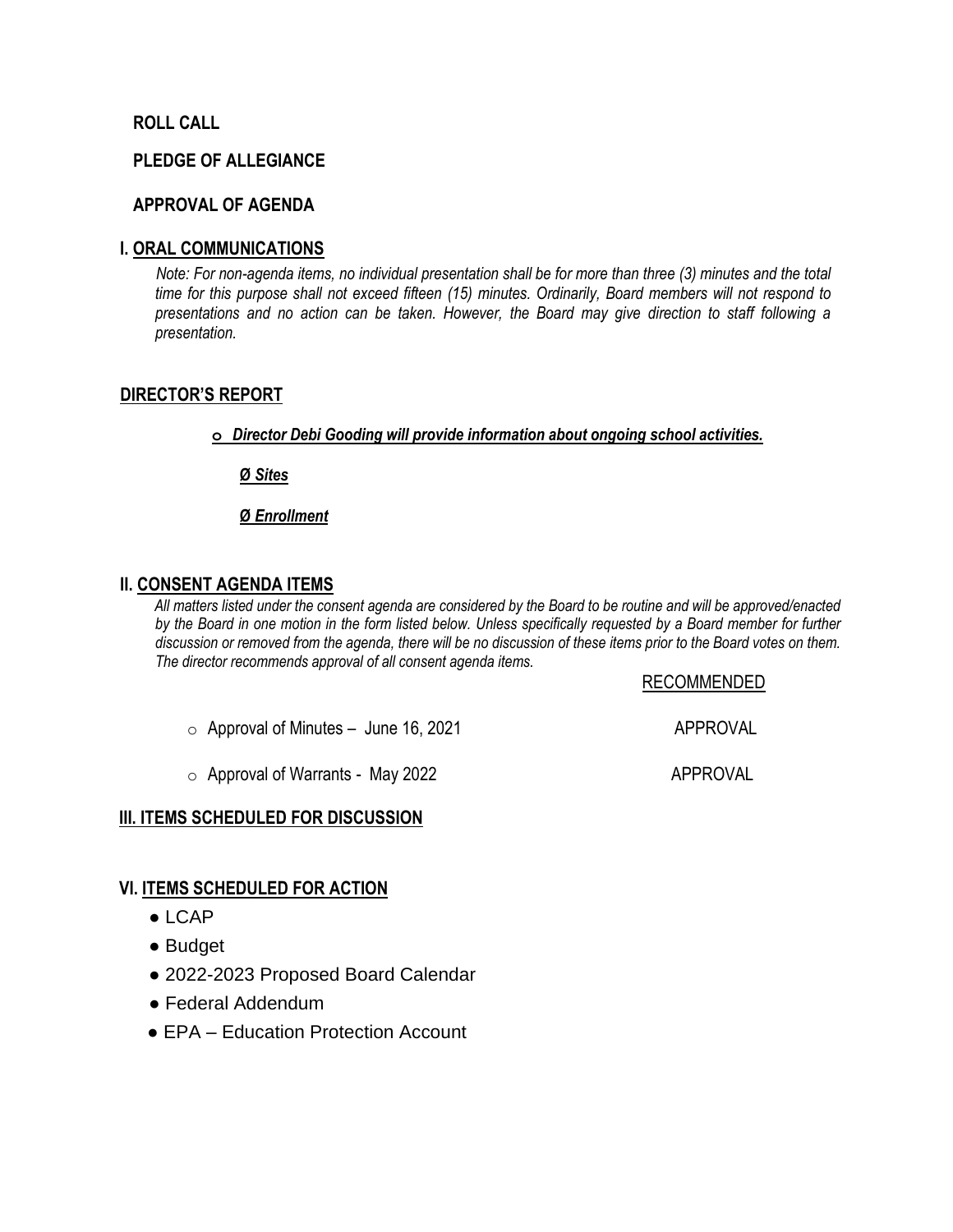#### **ROLL CALL**

#### **PLEDGE OF ALLEGIANCE**

#### **APPROVAL OF AGENDA**

#### **I. ORAL COMMUNICATIONS**

*Note: For non-agenda items, no individual presentation shall be for more than three (3) minutes and the total time for this purpose shall not exceed fifteen (15) minutes. Ordinarily, Board members will not respond to presentations and no action can be taken. However, the Board may give direction to staff following a presentation.*

#### **DIRECTOR'S REPORT**

**o** *Director Debi Gooding will provide information about ongoing school activities.*

**Ø** *Sites*

**Ø** *Enrollment*

#### **II. CONSENT AGENDA ITEMS**

*All matters listed under the consent agenda are considered by the Board to be routine and will be approved/enacted by the Board in one motion in the form listed below. Unless specifically requested by a Board member for further discussion or removed from the agenda, there will be no discussion of these items prior to the Board votes on them. The director recommends approval of all consent agenda items.*

#### RECOMMENDED

 $\circ$  Approval of Minutes – June 16, 2021  $\bullet$  APPROVAL

o Approval of Warrants - May 2022 APPROVAL

### **III. ITEMS SCHEDULED FOR DISCUSSION**

#### **VI. ITEMS SCHEDULED FOR ACTION**

- LCAP
- Budget
- 2022-2023 Proposed Board Calendar
- Federal Addendum
- EPA Education Protection Account